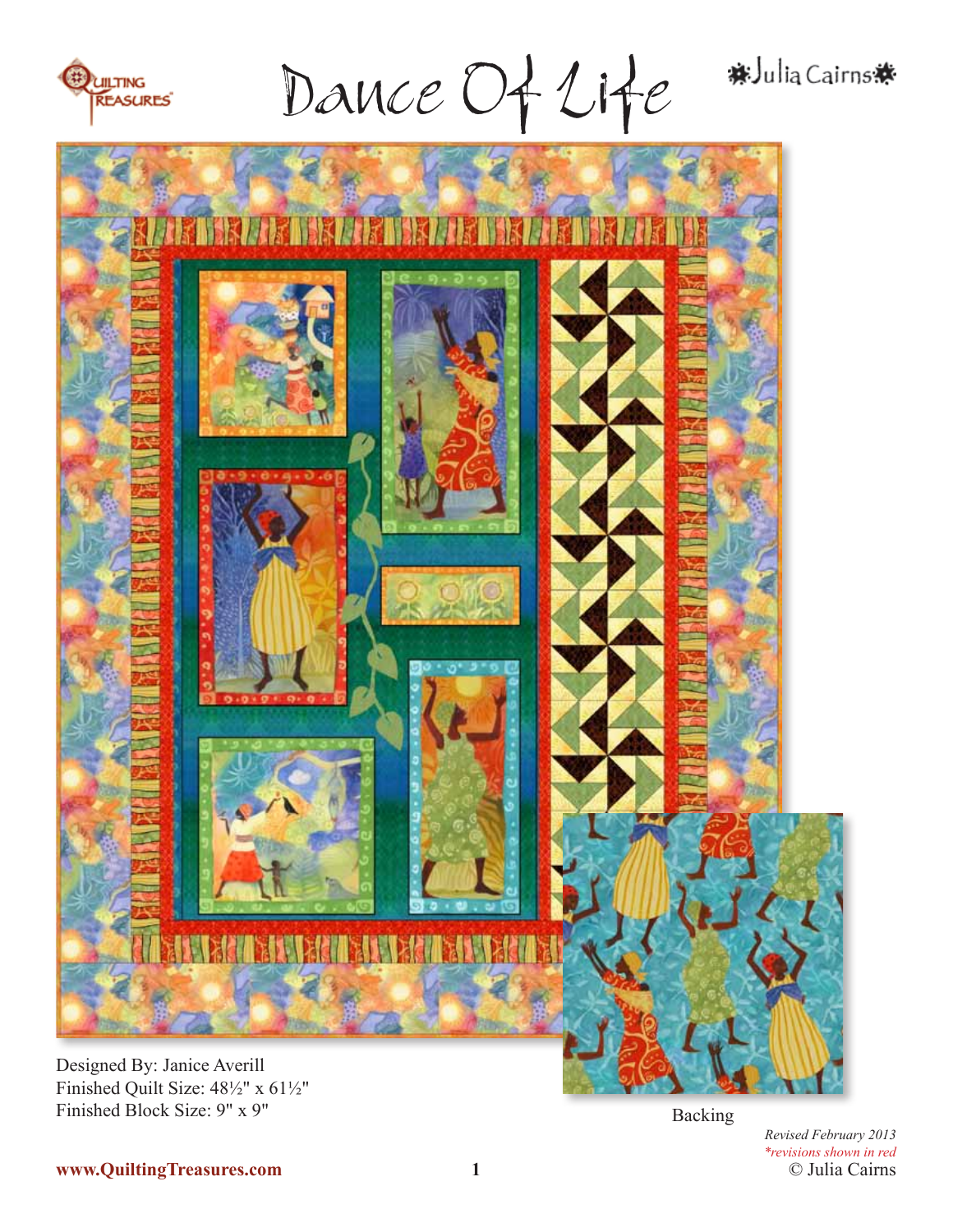

Dance Of Life

#Julia Cairns \*



Finished Quilt Size: 48½" x 61½" Finished Block Size: 9" x 9"

Backing

© Julia Cairns *Revised February 2013 \*revisions shown in red*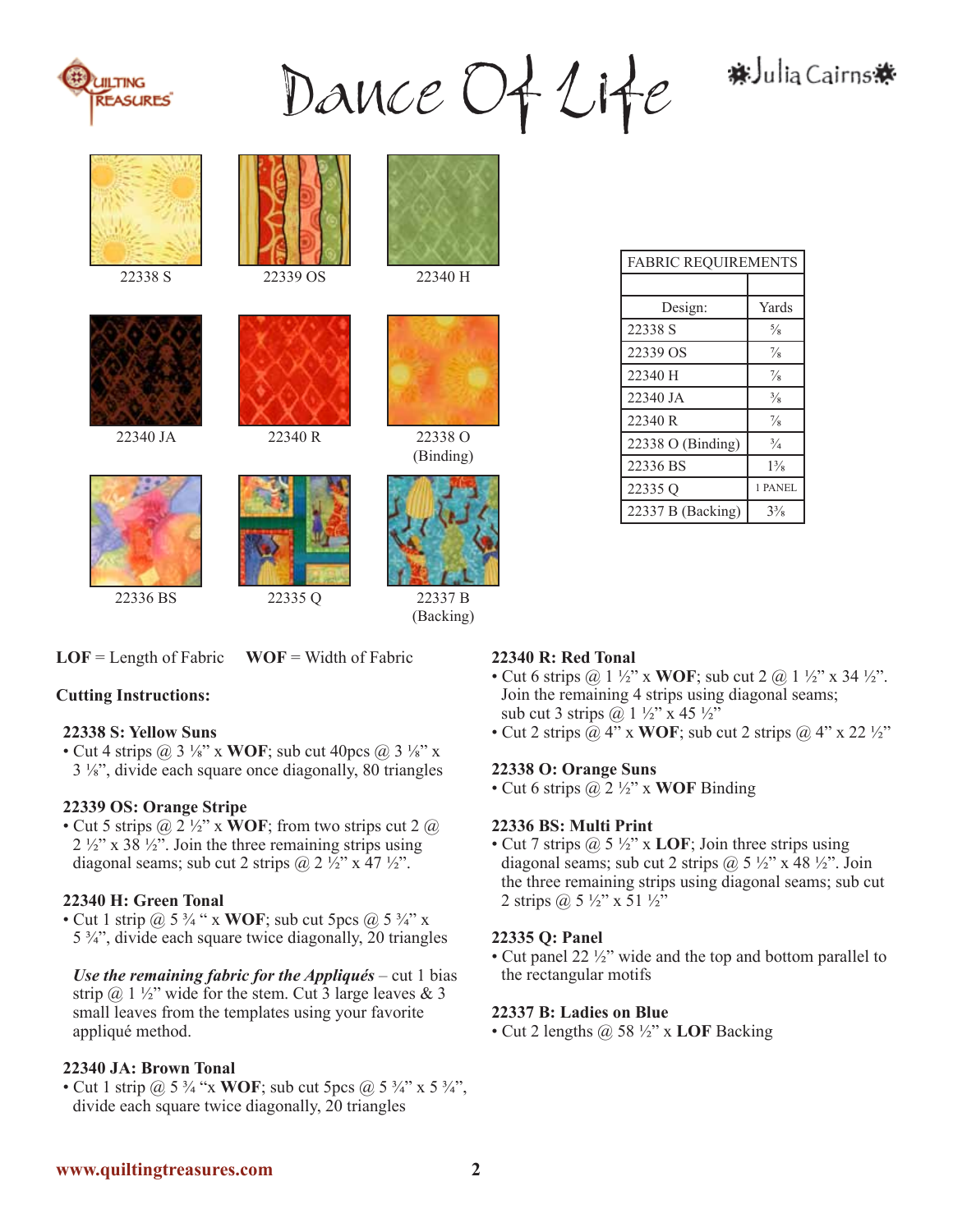

Dance Of Life \*Julia Cairns\*









22338 S 22339 OS 22340 H



22340 R

22340 JA 22340 R 22338 O



(Binding)



(Backing)

**LOF** = Length of Fabric **WOF** = Width of Fabric

# **Cutting Instructions:**

# **22338 S: Yellow Suns**

• Cut 4 strips  $\omega$  3 ¼" x **WOF**; sub cut 40pcs  $\omega$  3 ¼" x 3 ⅛", divide each square once diagonally, 80 triangles

# **22339 OS: Orange Stripe**

• Cut 5 strips  $\mathcal{Q}_2 \frac{1}{2}$  x **WOF**; from two strips cut 2  $\mathcal{Q}_2$  $2\frac{1}{2}$ " x 38  $\frac{1}{2}$ ". Join the three remaining strips using diagonal seams; sub cut 2 strips  $\omega$  2 ½" x 47 ½".

# **22340 H: Green Tonal**

• Cut 1 strip @ 5 ¾ " x **WOF**; sub cut 5pcs @ 5 ¾" x 5 ¾", divide each square twice diagonally, 20 triangles

*Use the remaining fabric for the Appliqués – cut 1 bias* strip  $@ 1 \frac{1}{2}$ " wide for the stem. Cut 3 large leaves & 3 small leaves from the templates using your favorite appliqué method.

# **22340 JA: Brown Tonal**

• Cut 1 strip  $(a)$  5  $\frac{3}{4}$  "x **WOF**; sub cut 5pcs  $(a)$  5  $\frac{3}{4}$ " x 5  $\frac{3}{4}$ ", divide each square twice diagonally, 20 triangles

# **22340 R: Red Tonal**

- Cut 6 strips  $\omega$  1 ½" x **WOF**; sub cut 2  $\omega$  1 ½" x 34 ½". Join the remaining 4 strips using diagonal seams; sub cut 3 strips  $\omega$  1 ½" x 45 ½"
- Cut 2 strips  $\omega$  4" x WOF; sub cut 2 strips  $\omega$  4" x 22  $\frac{1}{2}$ "

### **22338 O: Orange Suns**

• Cut 6 strips @ 2 ½" x **WOF** Binding

### **22336 BS: Multi Print**

• Cut 7 strips @ 5 ½" x **LOF**; Join three strips using diagonal seams; sub cut 2 strips  $\omega$  5  $\frac{1}{2}$ " x 48  $\frac{1}{2}$ ". Join the three remaining strips using diagonal seams; sub cut 2 strips  $(a)$  5  $\frac{1}{2}$ " x 51  $\frac{1}{2}$ "

# **22335 Q: Panel**

• Cut panel 22 ½" wide and the top and bottom parallel to the rectangular motifs

### **22337 B: Ladies on Blue**

• Cut 2 lengths @ 58 ½" x **LOF** Backing

| Design:           | Yards          |
|-------------------|----------------|
| 22338 S           | $\frac{5}{8}$  |
| 22339 OS          | $\frac{7}{8}$  |
| 22340 H           | $\frac{7}{8}$  |
| 22340 JA          | $\frac{3}{8}$  |
| 22340 R           | $\frac{7}{8}$  |
| 22338 O (Binding) | $\frac{3}{4}$  |
| 22336 BS          | $1\frac{3}{8}$ |
| 22335Q            | 1 PANEL        |
| 22337 B (Backing) | $3\frac{3}{8}$ |

**FABRIC REQUIREMENTS**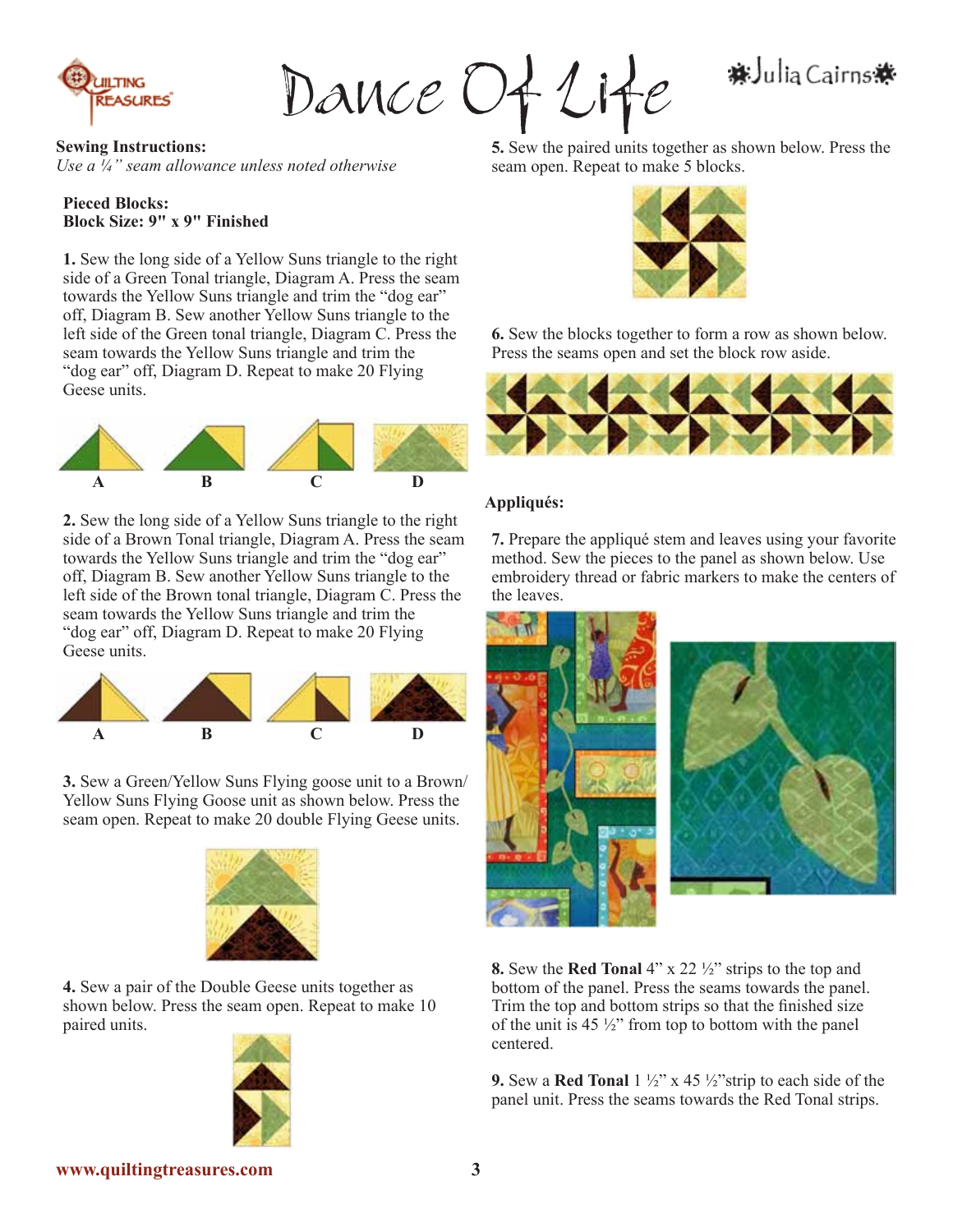

Dance Of Life

# **料Julia Cairns 株**

**Sewing Instructions:** *Use a ¼" seam allowance unless noted otherwise*

#### **Pieced Blocks: Block Size: 9" x 9" Finished**

**1.** Sew the long side of a Yellow Suns triangle to the right side of a Green Tonal triangle, Diagram A. Press the seam towards the Yellow Suns triangle and trim the "dog ear" off, Diagram B. Sew another Yellow Suns triangle to the left side of the Green tonal triangle, Diagram C. Press the seam towards the Yellow Suns triangle and trim the "dog ear" off, Diagram D. Repeat to make 20 Flying Geese units.



**2.** Sew the long side of a Yellow Suns triangle to the right side of a Brown Tonal triangle, Diagram A. Press the seam towards the Yellow Suns triangle and trim the "dog ear" off, Diagram B. Sew another Yellow Suns triangle to the left side of the Brown tonal triangle, Diagram C. Press the seam towards the Yellow Suns triangle and trim the "dog ear" off, Diagram D. Repeat to make 20 Flying Geese units.



**3.** Sew a Green/Yellow Suns Flying goose unit to a Brown/ Yellow Suns Flying Goose unit as shown below. Press the seam open. Repeat to make 20 double Flying Geese units.



**4.** Sew a pair of the Double Geese units together as shown below. Press the seam open. Repeat to make 10 paired units.



**5.** Sew the paired units together as shown below. Press the seam open. Repeat to make 5 blocks.



**6.** Sew the blocks together to form a row as shown below. Press the seams open and set the block row aside.



### **Appliqués:**

**7.** Prepare the appliqué stem and leaves using your favorite method. Sew the pieces to the panel as shown below. Use embroidery thread or fabric markers to make the centers of the leaves.



**8.** Sew the **Red Tonal** 4" x 22 ½" strips to the top and bottom of the panel. Press the seams towards the panel. Trim the top and bottom strips so that the finished size of the unit is  $45\frac{1}{2}$ " from top to bottom with the panel centered.

**9.** Sew a **Red Tonal** 1 ½" x 45 ½"strip to each side of the panel unit. Press the seams towards the Red Tonal strips.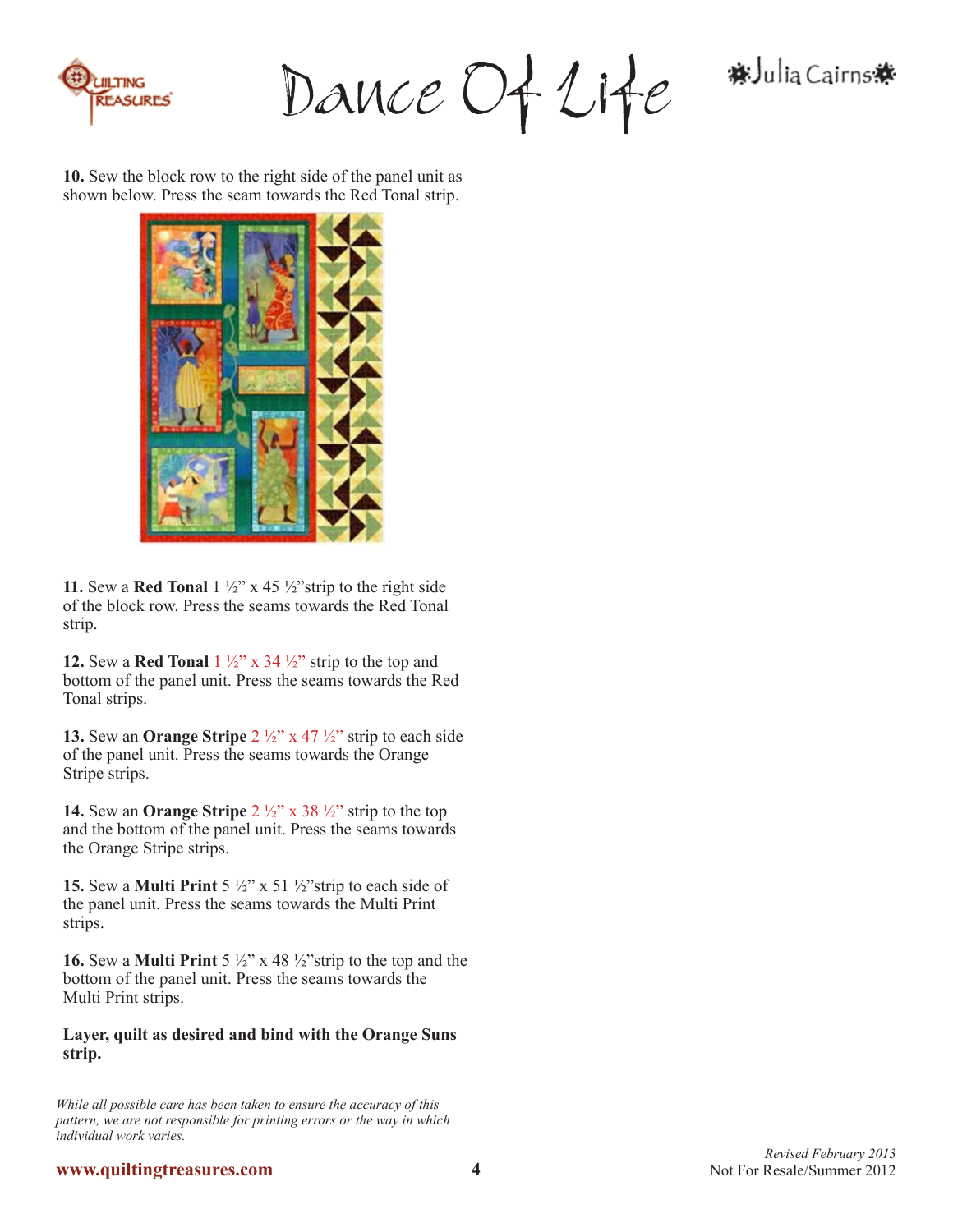

Dance Of Life

料 Julia Cairns ※

**10.** Sew the block row to the right side of the panel unit as shown below. Press the seam towards the Red Tonal strip.



**11.** Sew a **Red Tonal**  $1\frac{1}{2}$ " x 45  $\frac{1}{2}$ " strip to the right side of the block row. Press the seams towards the Red Tonal strip.

**12.** Sew a **Red Tonal**  $1\frac{1}{2}$  x 34  $\frac{1}{2}$  strip to the top and bottom of the panel unit. Press the seams towards the Red Tonal strips.

**13.** Sew an **Orange Stripe** 2 ½" x 47 ½" strip to each side of the panel unit. Press the seams towards the Orange Stripe strips.

**14.** Sew an **Orange Stripe** 2 ½" x 38 ½" strip to the top and the bottom of the panel unit. Press the seams towards the Orange Stripe strips.

**15.** Sew a **Multi Print** 5 ½" x 51 ½"strip to each side of the panel unit. Press the seams towards the Multi Print strips.

**16.** Sew a **Multi Print** 5 ½" x 48 ½"strip to the top and the bottom of the panel unit. Press the seams towards the Multi Print strips.

### **Layer, quilt as desired and bind with the Orange Suns strip.**

*While all possible care has been taken to ensure the accuracy of this pattern, we are not responsible for printing errors or the way in which individual work varies.*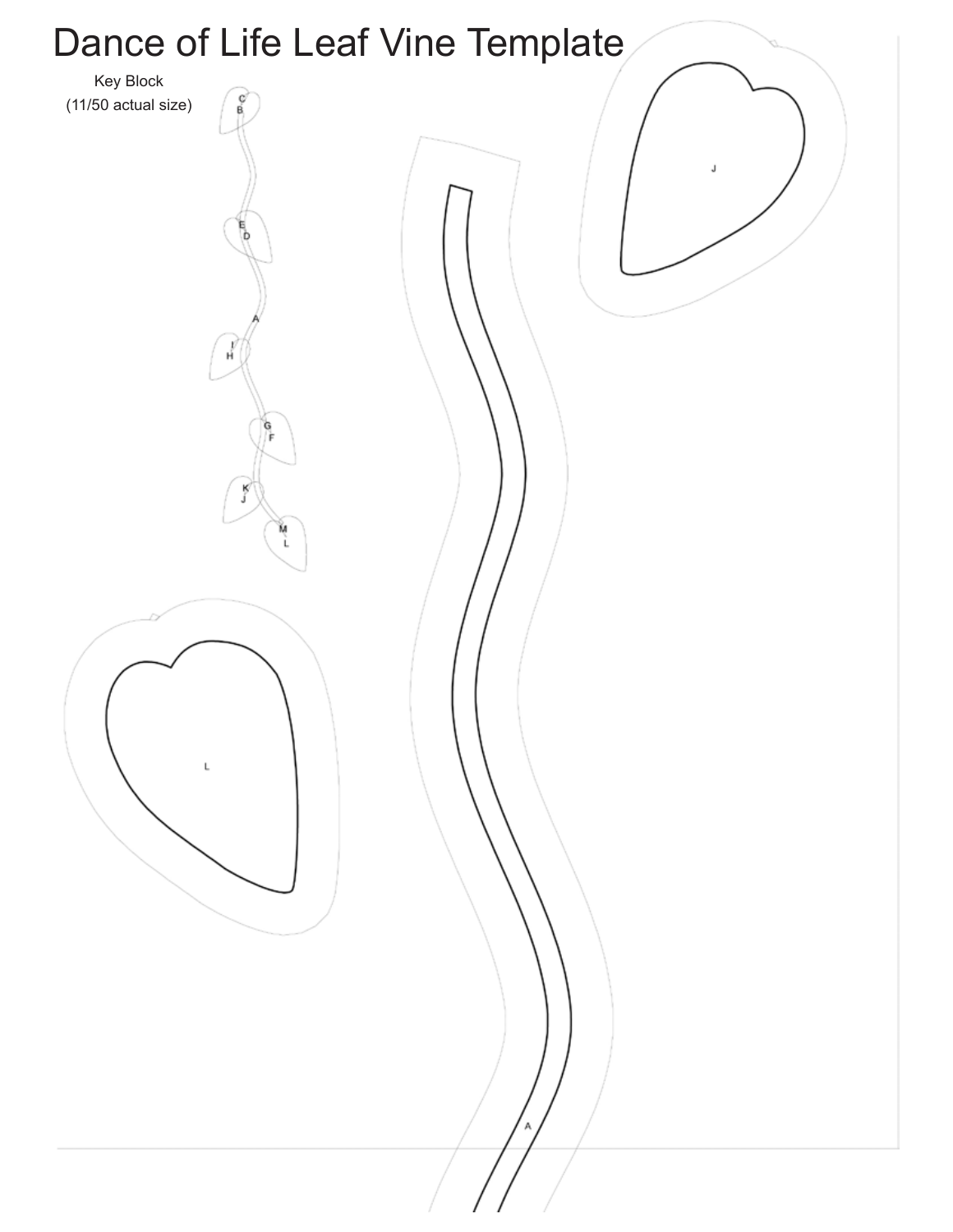